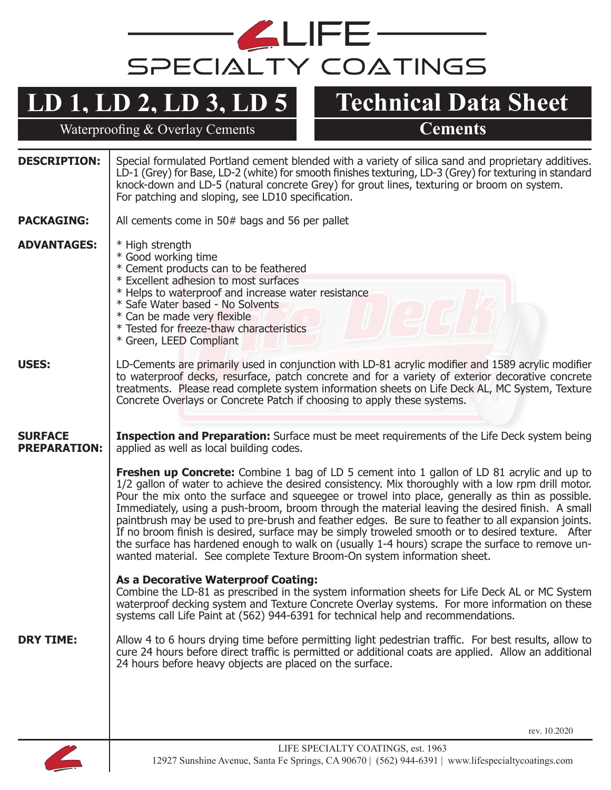

## **LD 1, LD 2, LD 3, LD 5**

Waterproofing & Overlay Cements **Cements** 

**Technical Data Sheet**

| <b>DESCRIPTION:</b>                   | Special formulated Portland cement blended with a variety of silica sand and proprietary additives.<br>LD-1 (Grey) for Base, LD-2 (white) for smooth finishes texturing, LD-3 (Grey) for texturing in standard<br>knock-down and LD-5 (natural concrete Grey) for grout lines, texturing or broom on system.<br>For patching and sloping, see LD10 specification.                                                                                                                                                                                                                                                                                                                                                                                                                                       |
|---------------------------------------|---------------------------------------------------------------------------------------------------------------------------------------------------------------------------------------------------------------------------------------------------------------------------------------------------------------------------------------------------------------------------------------------------------------------------------------------------------------------------------------------------------------------------------------------------------------------------------------------------------------------------------------------------------------------------------------------------------------------------------------------------------------------------------------------------------|
| <b>PACKAGING:</b>                     | All cements come in 50# bags and 56 per pallet                                                                                                                                                                                                                                                                                                                                                                                                                                                                                                                                                                                                                                                                                                                                                          |
| <b>ADVANTAGES:</b>                    | * High strength<br>* Good working time<br>* Cement products can to be feathered<br>* Excellent adhesion to most surfaces<br>* Helps to waterproof and increase water resistance<br>* Safe Water based - No Solvents<br>* Can be made very flexible<br>* Tested for freeze-thaw characteristics<br>* Green, LEED Compliant                                                                                                                                                                                                                                                                                                                                                                                                                                                                               |
| <b>USES:</b>                          | LD-Cements are primarily used in conjunction with LD-81 acrylic modifier and 1589 acrylic modifier<br>to waterproof decks, resurface, patch concrete and for a variety of exterior decorative concrete<br>treatments. Please read complete system information sheets on Life Deck AL, MC System, Texture<br>Concrete Overlays or Concrete Patch if choosing to apply these systems.                                                                                                                                                                                                                                                                                                                                                                                                                     |
| <b>SURFACE</b><br><b>PREPARATION:</b> | <b>Inspection and Preparation:</b> Surface must be meet requirements of the Life Deck system being<br>applied as well as local building codes.                                                                                                                                                                                                                                                                                                                                                                                                                                                                                                                                                                                                                                                          |
|                                       | <b>Freshen up Concrete:</b> Combine 1 bag of LD 5 cement into 1 gallon of LD 81 acrylic and up to<br>1/2 gallon of water to achieve the desired consistency. Mix thoroughly with a low rpm drill motor.<br>Pour the mix onto the surface and squeegee or trowel into place, generally as thin as possible.<br>Immediately, using a push-broom, broom through the material leaving the desired finish. A small<br>paintbrush may be used to pre-brush and feather edges. Be sure to feather to all expansion joints.<br>If no broom finish is desired, surface may be simply troweled smooth or to desired texture. After<br>the surface has hardened enough to walk on (usually 1-4 hours) scrape the surface to remove un-<br>wanted material. See complete Texture Broom-On system information sheet. |
|                                       | <b>As a Decorative Waterproof Coating:</b><br>Combine the LD-81 as prescribed in the system information sheets for Life Deck AL or MC System<br>waterproof decking system and Texture Concrete Overlay systems. For more information on these<br>systems call Life Paint at (562) 944-6391 for technical help and recommendations.                                                                                                                                                                                                                                                                                                                                                                                                                                                                      |
| <b>DRY TIME:</b>                      | Allow 4 to 6 hours drying time before permitting light pedestrian traffic. For best results, allow to<br>cure 24 hours before direct traffic is permitted or additional coats are applied. Allow an additional<br>24 hours before heavy objects are placed on the surface.                                                                                                                                                                                                                                                                                                                                                                                                                                                                                                                              |
|                                       |                                                                                                                                                                                                                                                                                                                                                                                                                                                                                                                                                                                                                                                                                                                                                                                                         |
|                                       | rev. 10.2020                                                                                                                                                                                                                                                                                                                                                                                                                                                                                                                                                                                                                                                                                                                                                                                            |